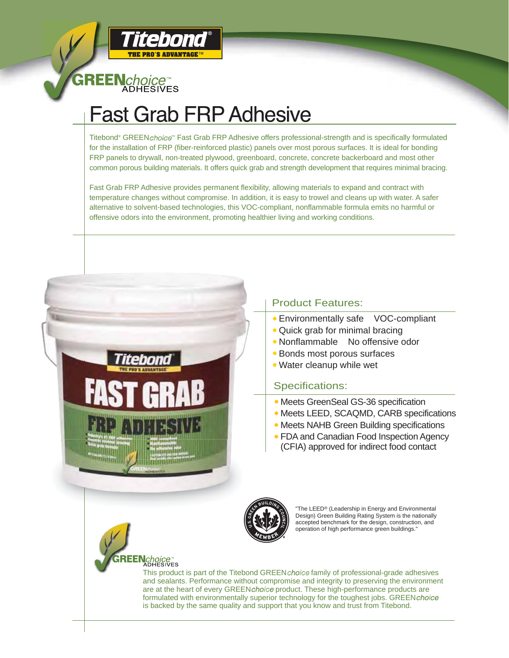

**REEN**choice<sup>™</sup><br>ADHESIVES

# **Fast Grab FRP Adhesive**

Titebond® GREEN *choice*™ Fast Grab FRP Adhesive offers professional-strength and is specifically formulated for the installation of FRP (fiber-reinforced plastic) panels over most porous surfaces. It is ideal for bonding FRP panels to drywall, non-treated plywood, greenboard, concrete, concrete backerboard and most other common porous building materials. It offers quick grab and strength development that requires minimal bracing.

Fast Grab FRP Adhesive provides permanent flexibility, allowing materials to expand and contract with temperature changes without compromise. In addition, it is easy to trowel and cleans up with water. A safer alternative to solvent-based technologies, this VOC-compliant, nonflammable formula emits no harmful or offensive odors into the environment, promoting healthier living and working conditions.



### Product Features:

- Environmentally safe VOC-compliant
- Quick grab for minimal bracing
- Nonflammable No offensive odor
- Bonds most porous surfaces
- Water cleanup while wet

#### Specifications:

- Meets GreenSeal GS-36 specification
- Meets LEED, SCAQMD, CARB specifications
- Meets NAHB Green Building specifications
- FDA and Canadian Food Inspection Agency (CFIA) approved for indirect food contact



The LEED<sup>®</sup> (Leadership in Energy and Environmental Design) Green Building Rating System is the nationally accepted benchmark for the design, construction, and operation of high performance green buildings."

## *Choice*<br>ADHESIVES

This product is part of the Titebond GREENchoicefamily of professional-grade adhesives and sealants. Performance without compromise and integrity to preserving the environment are at the heart of every GREENchoice product. These high-performance products are formulated with environmentally superior technology for the toughest jobs. GREENchoice is backed by the same quality and support that you know and trust from Titebond.